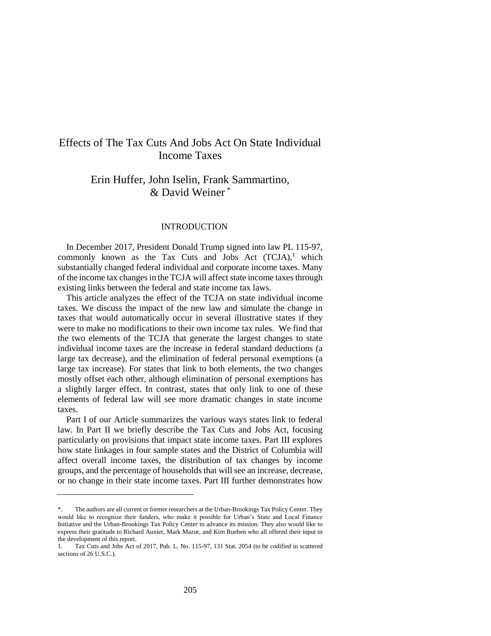# Effects of The Tax Cuts And Jobs Act On State Individual Income Taxes

# Erin Huffer, John Iselin, Frank Sammartino, & David Weiner \*

#### INTRODUCTION

In December 2017, President Donald Trump signed into law PL 115-97, commonly known as the Tax Cuts and Jobs Act  $(TCJA)^1$ , which substantially changed federal individual and corporate income taxes. Many of the income tax changes in the TCJA will affect state income taxes through existing links between the federal and state income tax laws.

This article analyzes the effect of the TCJA on state individual income taxes. We discuss the impact of the new law and simulate the change in taxes that would automatically occur in several illustrative states if they were to make no modifications to their own income tax rules. We find that the two elements of the TCJA that generate the largest changes to state individual income taxes are the increase in federal standard deductions (a large tax decrease), and the elimination of federal personal exemptions (a large tax increase). For states that link to both elements, the two changes mostly offset each other, although elimination of personal exemptions has a slightly larger effect. In contrast, states that only link to one of these elements of federal law will see more dramatic changes in state income taxes.

Part I of our Article summarizes the various ways states link to federal law. In Part II we briefly describe the Tax Cuts and Jobs Act, focusing particularly on provisions that impact state income taxes. Part III explores how state linkages in four sample states and the District of Columbia will affect overall income taxes, the distribution of tax changes by income groups, and the percentage of households that will see an increase, decrease, or no change in their state income taxes. Part III further demonstrates how

<sup>\*.</sup> The authors are all current or former researchers at the Urban-Brookings Tax Policy Center. They would like to recognize their funders, who make it possible for Urban's State and Local Finance Initiative and the Urban-Brookings Tax Policy Center to advance its mission. They also would like to express their gratitude to Richard Auxier, Mark Mazur, and Kim Rueben who all offered their input in the development of this report.

<sup>1.</sup> Tax Cuts and Jobs Act of 2017, Pub. L. No. 115-97, 131 Stat. 2054 (to be codified in scattered sections of 26 U.S.C.).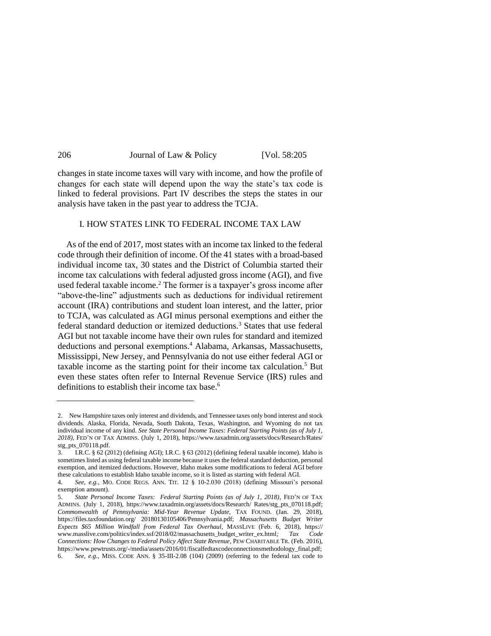changes in state income taxes will vary with income, and how the profile of changes for each state will depend upon the way the state's tax code is linked to federal provisions. Part IV describes the steps the states in our analysis have taken in the past year to address the TCJA.

#### I. HOW STATES LINK TO FEDERAL INCOME TAX LAW

As of the end of 2017, most states with an income tax linked to the federal code through their definition of income. Of the 41 states with a broad-based individual income tax, 30 states and the District of Columbia started their income tax calculations with federal adjusted gross income (AGI), and five used federal taxable income.<sup>2</sup> The former is a taxpayer's gross income after "above-the-line" adjustments such as deductions for individual retirement account (IRA) contributions and student loan interest, and the latter, prior to TCJA, was calculated as AGI minus personal exemptions and either the federal standard deduction or itemized deductions.<sup>3</sup> States that use federal AGI but not taxable income have their own rules for standard and itemized deductions and personal exemptions.<sup>4</sup> Alabama, Arkansas, Massachusetts, Mississippi, New Jersey, and Pennsylvania do not use either federal AGI or taxable income as the starting point for their income tax calculation.<sup>5</sup> But even these states often refer to Internal Revenue Service (IRS) rules and definitions to establish their income tax base.<sup>6</sup>

<sup>2.</sup> New Hampshire taxes only interest and dividends, and Tennessee taxes only bond interest and stock dividends. Alaska, Florida, Nevada, South Dakota, Texas, Washington, and Wyoming do not tax individual income of any kind. *See State Personal Income Taxes: Federal Starting Points (as of July 1, 2018)*, FED'N OF TAX ADMINS. (July 1, 2018), [https://www.taxadmin.org/assets/docs/Research/Rates/](https://www.taxadmin.org/assets/docs/Research/Rates/%20stg_pts_070118.pdf)  [stg\\_pts\\_070118.pdf.](https://www.taxadmin.org/assets/docs/Research/Rates/%20stg_pts_070118.pdf)

<sup>3.</sup> I.R.C. § 62 (2012) (defining AGI); I.R.C. § 63 (2012) (defining federal taxable income). Idaho is sometimes listed as using federal taxable income because it uses the federal standard deduction, personal exemption, and itemized deductions. However, Idaho makes some modifications to federal AGI before these calculations to establish Idaho taxable income, so it is listed as starting with federal AGI.

<sup>4.</sup> *See, e.g.,* MO. CODE REGS. ANN. TIT. 12 § 10-2.030 (2018) (defining Missouri's personal exemption amount).

<sup>5.</sup> *State Personal Income Taxes: Federal Starting Points (as of July 1, 2018)*, FED'N OF TAX ADMINS. (July 1, 2018), [https://www.taxadmin.org/assets/docs/Research/ Rates/stg\\_pts\\_070118.pdf;](https://www.taxadmin.org/assets/docs/Research/%20Rates/stg_pts_070118.pdf)  *Commonwealth of Pennsylvania: Mid-Year Revenue Update*, TAX FOUND. (Jan. 29, 2018), [https://files.taxfoundation.org/ 20180130105406/Pennsylvania.pdf;](https://files.taxfoundation.org/%2020180130105406/Pennsylvania.pdf) *Massachusetts Budget Writer Expects \$65 Million Windfall from Federal Tax Overhaul*, MASSLIVE (Feb. 6, 2018), https:// www.masslive.com/politics/index.ssf/2018/02/massachusetts\_budget\_writer\_ex.html*; Tax Code Connections: How Changes to Federal Policy Affect State Revenue*, PEW CHARITABLE TR. (Feb. 2016), [https://www.pewtrusts.org/-/media/assets/2016/01/fiscalfedtaxcodeconnectionsmethodology\\_final.pdf;](https://www.pewtrusts.org/-/media/assets/2016/%2001/fiscalfedtaxcodeconnectionsmethodology_final.pdf)  6. *See, e.g.*, MISS. CODE ANN. § 35-III-2.08 (104) (2009) (referring to the federal tax code to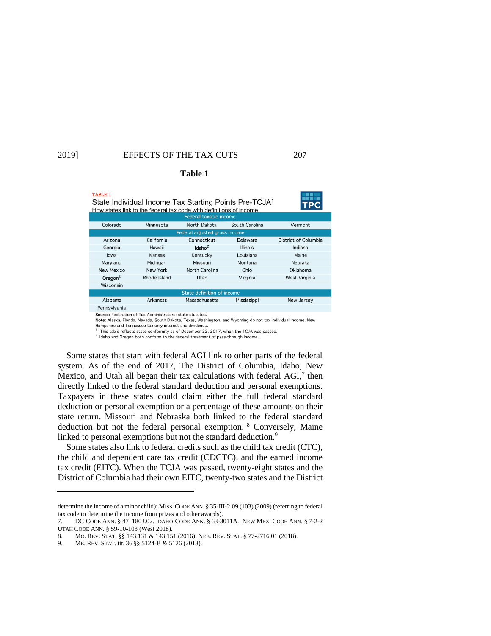TABLE 1

 $\ldots$   $\ldots$ 

# 2019] EFFECTS OF THE TAX CUTS 207

| State Individual Income Tax Starting Points Pre-TCJA               |           |              |                |  |
|--------------------------------------------------------------------|-----------|--------------|----------------|--|
| How states link to the federal tax code with definitions of income |           |              |                |  |
| Federal taxable income                                             |           |              |                |  |
| Colorado                                                           | Minnesota | North Dakota | South Carolina |  |

**Table 1**

| Colorago            | <b>MILLESOL</b> | <u>inoi lii Dakola</u>        | <b>Suuth Carolina</b> | Verrion              |
|---------------------|-----------------|-------------------------------|-----------------------|----------------------|
|                     |                 | Federal adjusted gross income |                       |                      |
| Arizona             | California      | Connecticut                   | Delaware              | District of Columbia |
| Georgia             | Hawaii          | Idaho <sup>2</sup>            | <b>Illinois</b>       | Indiana              |
| lowa                | Kansas          | Kentucky                      | Louisiana             | Maine                |
| Maryland            | Michigan        | Missouri                      | Montana               | Nebraka              |
| <b>New Mexico</b>   | New York        | North Carolina                | Ohio                  | Oklahoma             |
| Oregon <sup>2</sup> | Rhode Island    | Utah                          | Virginia              | West Virginia        |
| Wisconsin           |                 |                               |                       |                      |
|                     |                 | State definition of income    |                       |                      |
| Alabama             | Arkansas        | Massachusetts                 | Mississippi           | New Jersey           |
| Pennsylvania        |                 |                               |                       |                      |
|                     |                 |                               |                       |                      |

Source: Federation of Tax Administrators: state statutes.

Note: Alaska, Florida, Nevada, South Dakota, Texas, Washington, and Wyoming do not tax individual income. New Hampshire and Tennessee tax only interest and dividends.

This table reflects state conformity as of December 22, 2017, when the TCJA was passed.

<sup>2</sup> Idaho and Oregon both conform to the federal treatment of pass-through income.

Some states that start with federal AGI link to other parts of the federal system. As of the end of 2017, The District of Columbia, Idaho, New Mexico, and Utah all began their tax calculations with federal  $AGI$ ,<sup>7</sup> then directly linked to the federal standard deduction and personal exemptions. Taxpayers in these states could claim either the full federal standard deduction or personal exemption or a percentage of these amounts on their state return. Missouri and Nebraska both linked to the federal standard deduction but not the federal personal exemption. <sup>8</sup> Conversely, Maine linked to personal exemptions but not the standard deduction.<sup>9</sup>

Some states also link to federal credits such as the child tax credit (CTC), the child and dependent care tax credit (CDCTC), and the earned income tax credit (EITC). When the TCJA was passed, twenty-eight states and the District of Columbia had their own EITC, twenty-two states and the District

determine the income of a minor child); MISS. CODE ANN. § 35-III-2.09 (103) (2009) (referring to federal tax code to determine the income from prizes and other awards).

<sup>7.</sup> DC CODE ANN. § 47–1803.02. IDAHO CODE ANN. § 63-3011A. NEW MEX. CODE ANN. § 7-2-2 UTAH CODE ANN. § 59-10-103 (West 2018).

<sup>8.</sup> MO. REV. STAT. §§ 143.131 & 143.151 (2016). NEB. REV. STAT. § 77-2716.01 (2018).

<sup>9.</sup> ME. REV. STAT. tit. 36 §§ 5124-B & 5126 (2018).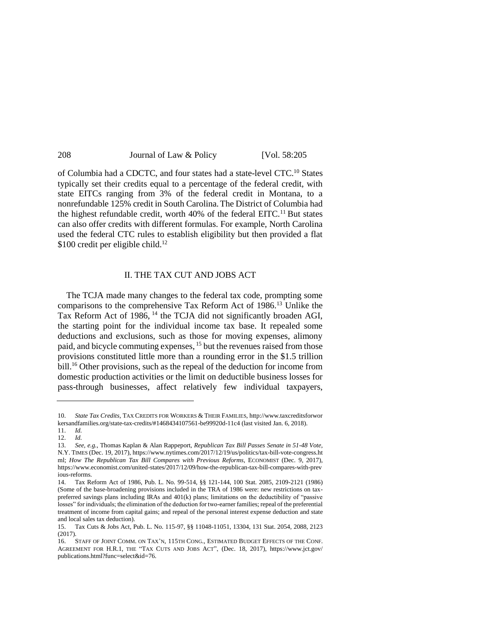| Journal of Law & Policy | [Vol. 58:205] |
|-------------------------|---------------|
|                         |               |

of Columbia had a CDCTC, and four states had a state-level CTC.<sup>10</sup> States typically set their credits equal to a percentage of the federal credit, with state EITCs ranging from 3% of the federal credit in Montana, to a nonrefundable 125% credit in South Carolina.The District of Columbia had the highest refundable credit, worth 40% of the federal EITC.<sup>11</sup> But states can also offer credits with different formulas. For example, North Carolina used the federal CTC rules to establish eligibility but then provided a flat  $$100$  credit per eligible child.<sup>12</sup>

#### II. THE TAX CUT AND JOBS ACT

The TCJA made many changes to the federal tax code, prompting some comparisons to the comprehensive Tax Reform Act of 1986.<sup>13</sup> Unlike the Tax Reform Act of 1986, <sup>14</sup> the TCJA did not significantly broaden AGI, the starting point for the individual income tax base. It repealed some deductions and exclusions, such as those for moving expenses, alimony paid, and bicycle commuting expenses, <sup>15</sup> but the revenues raised from those provisions constituted little more than a rounding error in the \$1.5 trillion bill.<sup>16</sup> Other provisions, such as the repeal of the deduction for income from domestic production activities or the limit on deductible business losses for pass-through businesses, affect relatively few individual taxpayers,

<sup>10.</sup> *State Tax Credits*, TAX CREDITS FOR WORKERS & THEIR FAMILIES[, http://www.taxcreditsforwor](http://www.taxcreditsforwor/) kersandfamilies.org/state-tax-credits/#1468434107561-be99920d-11c4 (last visited Jan. 6, 2018).

<sup>11.</sup> *Id.* 12. *Id.*

<sup>13.</sup> *See, e.g.*, Thomas Kaplan & Alan Rappeport, *Republican Tax Bill Passes Senate in 51-48 Vote*, N.Y. TIMES (Dec. 19, 2017)[, https://www.nytimes.com/2017/12/19/us/politics/tax-bill-vote-congress.ht](https://www.nytimes.com/2017/12/19/us/politics/tax-bill-vote-congress.ht) ml; *How The Republican Tax Bill Compares with Previous Reforms*, ECONOMIST (Dec. 9, 2017), <https://www.economist.com/united-states/2017/12/09/how-the-republican-tax-bill-compares-with-prev> ious-reforms.

<sup>14.</sup> Tax Reform Act of 1986, Pub. L. No. 99-514, §§ 121-144, 100 Stat. 2085, 2109-2121 (1986) (Some of the base-broadening provisions included in the TRA of 1986 were: new restrictions on taxpreferred savings plans including IRAs and 401(k) plans; limitations on the deductibility of "passive losses" for individuals; the elimination of the deduction for two-earner families; repeal of the preferential treatment of income from capital gains; and repeal of the personal interest expense deduction and state and local sales tax deduction).

<sup>15.</sup> Tax Cuts & Jobs Act, Pub. L. No. 115-97, §§ 11048-11051, 13304, 131 Stat. 2054, 2088, 2123 (2017).

<sup>16.</sup> STAFF OF JOINT COMM. ON TAX'N, 115TH CONG., ESTIMATED BUDGET EFFECTS OF THE CONF. AGREEMENT FOR H.R.1, THE "TAX CUTS AND JOBS ACT", (Dec. 18, 2017), [https://www.jct.gov/](https://www.jct.gov/%20publications.html?func=select&id=76)  [publications.html?func=select&id=76.](https://www.jct.gov/%20publications.html?func=select&id=76)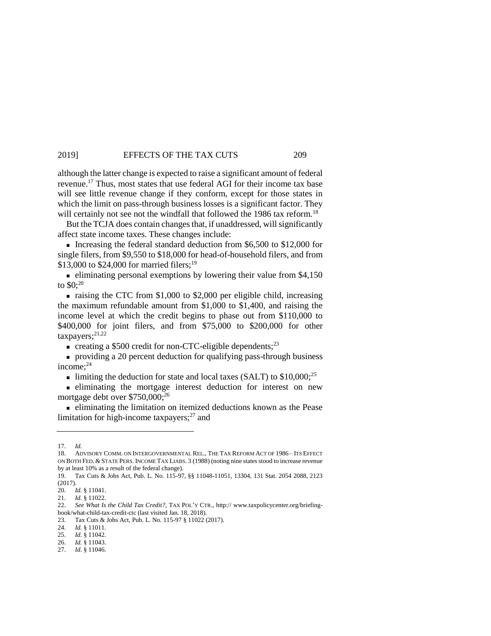although the latter change is expected to raise a significant amount of federal revenue.<sup>17</sup> Thus, most states that use federal AGI for their income tax base will see little revenue change if they conform, except for those states in which the limit on pass-through business losses is a significant factor. They will certainly not see not the windfall that followed the 1986 tax reform.<sup>18</sup>

But the TCJA does contain changes that, if unaddressed, will significantly affect state income taxes. These changes include:

Increasing the federal standard deduction from  $$6,500$  to  $$12,000$  for single filers, from \$9,550 to \$18,000 for head-of-household filers, and from \$13,000 to \$24,000 for married filers;<sup>19</sup>

 $\blacksquare$  eliminating personal exemptions by lowering their value from \$4,150 to \$0;<sup>20</sup>

 $\blacksquare$  raising the CTC from \$1,000 to \$2,000 per eligible child, increasing the maximum refundable amount from \$1,000 to \$1,400, and raising the income level at which the credit begins to phase out from \$110,000 to \$400,000 for joint filers, and from \$75,000 to \$200,000 for other taxpayers;<sup>21,22</sup>

 $\bullet$  creating a \$500 credit for non-CTC-eligible dependents;<sup>23</sup>

 providing a 20 percent deduction for qualifying pass-through business income:<sup>24</sup>

limiting the deduction for state and local taxes (SALT) to  $$10,000$ ;<sup>25</sup>

 eliminating the mortgage interest deduction for interest on new mortgage debt over \$750,000;<sup>26</sup>

 eliminating the limitation on itemized deductions known as the Pease limitation for high-income taxpayers; $27$  and

24. *Id.* § 11011.

<sup>17.</sup> *Id.*

<sup>18.</sup> ADVISORY COMM. ON INTERGOVERNMENTAL REL., THE TAX REFORM ACT OF 1986 *–* ITS EFFECT ON BOTH FED. & STATE PERS. INCOME TAX LIABS. 3 (1988) (noting nine states stood to increase revenue by at least 10% as a result of the federal change).

<sup>19.</sup> Tax Cuts & Jobs Act, Pub. L. No. 115-97, §§ 11048-11051, 13304, 131 Stat. 2054 2088, 2123 (2017).

<sup>20.</sup> *Id.* § 11041.

<sup>21.</sup> *Id.* § 11022.

<sup>22.</sup> *See What Is the Child Tax Credit?*, TAX POL'Y CTR., http:// www.taxpolicycenter.org/briefingbook/what-child-tax-credit-ctc (last visited Jan. 18, 2018).

<sup>23.</sup> Tax Cuts & Jobs Act, Pub. L. No. 115-97 § 11022 (2017).

<sup>25.</sup> *Id.* § 11042.

<sup>26.</sup> *Id.* § 11043.

<sup>27.</sup> *Id.* § 11046.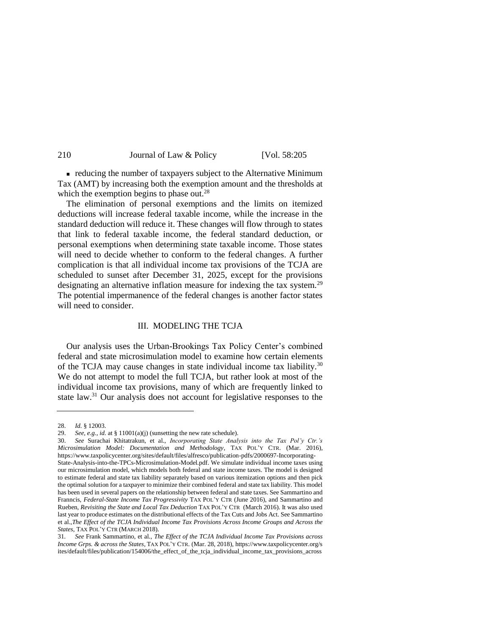| 210 | Journal of Law & Policy | [Vol. 58:205] |
|-----|-------------------------|---------------|
|-----|-------------------------|---------------|

 reducing the number of taxpayers subject to the Alternative Minimum Tax (AMT) by increasing both the exemption amount and the thresholds at which the exemption begins to phase out.<sup>28</sup>

The elimination of personal exemptions and the limits on itemized deductions will increase federal taxable income, while the increase in the standard deduction will reduce it. These changes will flow through to states that link to federal taxable income, the federal standard deduction, or personal exemptions when determining state taxable income. Those states will need to decide whether to conform to the federal changes. A further complication is that all individual income tax provisions of the TCJA are scheduled to sunset after December 31, 2025, except for the provisions designating an alternative inflation measure for indexing the tax system.<sup>29</sup> The potential impermanence of the federal changes is another factor states will need to consider.

#### III. MODELING THE TCJA

Our analysis uses the Urban-Brookings Tax Policy Center's combined federal and state microsimulation model to examine how certain elements of the TCJA may cause changes in state individual income tax liability.<sup>30</sup> We do not attempt to model the full TCJA, but rather look at most of the individual income tax provisions, many of which are frequently linked to state law.<sup>31</sup> Our analysis does not account for legislative responses to the

<span id="page-5-0"></span><sup>28.</sup> *Id.* § 12003.

<sup>29.</sup> *See, e.g., id.* at  $\S$  11001(a)(j) (sunsetting the new rate schedule).<br>30 *See* Surachai Khitatrakun et al *Incorporating State Angl* 

<sup>30.</sup> *See* Surachai Khitatrakun, et al., *Incorporating State Analysis into the Tax Pol'y Ctr.'s Microsimulation Model: Documentation and Methodology*, TAX POL'Y CTR. (Mar. 2016), [https://www.taxpolicycenter.org/sites/default/files/alfresco/publication-pdfs/2000697-Incorporating-](https://www.taxpolicycenter.org/sites/default/files/alfresco/publication-pdfs/2000697-Incorporating-State-Analysis-into-the-TPCs-Microsimulation-Model.pdf)

[State-Analysis-into-the-TPCs-Microsimulation-Model.pdf.](https://www.taxpolicycenter.org/sites/default/files/alfresco/publication-pdfs/2000697-Incorporating-State-Analysis-into-the-TPCs-Microsimulation-Model.pdf) We simulate individual income taxes using our microsimulation model, which models both federal and state income taxes. The model is designed to estimate federal and state tax liability separately based on various itemization options and then pick the optimal solution for a taxpayer to minimize their combined federal and state tax liability. This model has been used in several papers on the relationship between federal and state taxes. See Sammartino and Franncis, *[Federal-State Income Tax Progressivity](https://www.taxpolicycenter.org/publications/federal-state-income-tax-progressivity/full)* TAX POL'Y CTR (June 2016), and Sammartino and Rueben, *[Revisiting the State and Local Tax Deduction](https://www.taxpolicycenter.org/publications/revisiting-state-and-local-tax-deduction/full)* TAX POL'Y CTR (March 2016). It was also used last year to produce estimates on the distributional effects of the Tax Cuts and Jobs Act. See Sammartino et al.,*[The Effect of the TCJA Individual Income Tax Provisions Across Income Groups and Across the](https://www.taxpolicycenter.org/publications/effect-tcja-individual-income-tax-provisions-across-income-groups-and-across-states)  [States](https://www.taxpolicycenter.org/publications/effect-tcja-individual-income-tax-provisions-across-income-groups-and-across-states)*, TAX POL'Y CTR (MARCH 2018).

<sup>31</sup>*. See* Frank Sammartino, et al., *The Effect of the TCJA Individual Income Tax Provisions across Income Grps. & across the States*, TAX POL'Y CTR. (Mar. 28, 2018)[, https://www.taxpolicycenter.org/s](https://www.taxpolicycenter.org/s) ites/default/files/publication/154006/the\_effect\_of\_the\_tcja\_individual\_income\_tax\_provisions\_across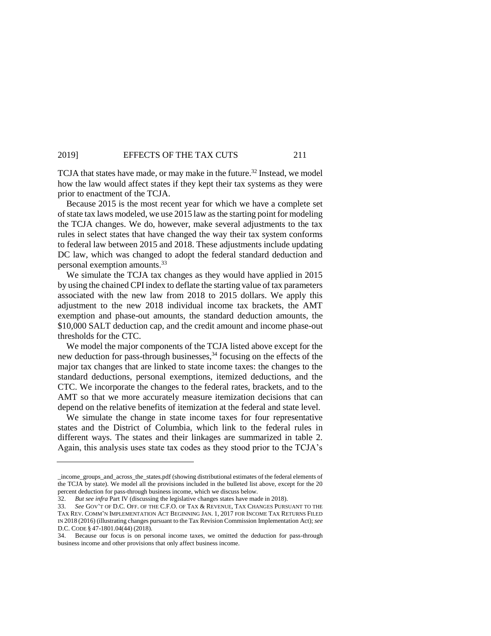TCJA that states have made, or may make in the future.<sup>32</sup> Instead, we model how the law would affect states if they kept their tax systems as they were prior to enactment of the TCJA.

Because 2015 is the most recent year for which we have a complete set of state tax laws modeled, we use 2015 law as the starting point for modeling the TCJA changes. We do, however, make several adjustments to the tax rules in select states that have changed the way their tax system conforms to federal law between 2015 and 2018. These adjustments include updating DC law, which was changed to adopt the federal standard deduction and personal exemption amounts.<sup>33</sup>

We simulate the TCJA tax changes as they would have applied in 2015 by using the chained CPI index to deflate the starting value of tax parameters associated with the new law from 2018 to 2015 dollars. We apply this adjustment to the new 2018 individual income tax brackets, the AMT exemption and phase-out amounts, the standard deduction amounts, the \$10,000 SALT deduction cap, and the credit amount and income phase-out thresholds for the CTC.

We model the major components of the TCJA listed above except for the new deduction for pass-through businesses,<sup>34</sup> focusing on the effects of the major tax changes that are linked to state income taxes: the changes to the standard deductions, personal exemptions, itemized deductions, and the CTC. We incorporate the changes to the federal rates, brackets, and to the AMT so that we more accurately measure itemization decisions that can depend on the relative benefits of itemization at the federal and state level.

We simulate the change in state income taxes for four representative states and the District of Columbia, which link to the federal rules in different ways. The states and their linkages are summarized in table 2. Again, this analysis uses state tax codes as they stood prior to the TCJA's

\_income\_groups\_and\_across\_the\_states.pdf (showing distributional estimates of the federal elements of the TCJA by state). We model all the provisions included in the bulleted list above, except for the 20 percent deduction for pass-through business income, which we discuss below.

<sup>32.</sup> *But see infra* Part IV (discussing the legislative changes states have made in 2018).

<sup>33.</sup> *See* GOV'T OF D.C. OFF. OF THE C.F.O. OF TAX & REVENUE, TAX CHANGES PURSUANT TO THE TAX REV. COMM'N IMPLEMENTATION ACT BEGINNING JAN. 1, 2017 FOR INCOME TAX RETURNS FILED IN 2018 (2016) (illustrating changes pursuant to the Tax Revision Commission Implementation Act); *see*  D.C. CODE § 47-1801.04(44) (2018).

<sup>34.</sup> Because our focus is on personal income taxes, we omitted the deduction for pass-through business income and other provisions that only affect business income.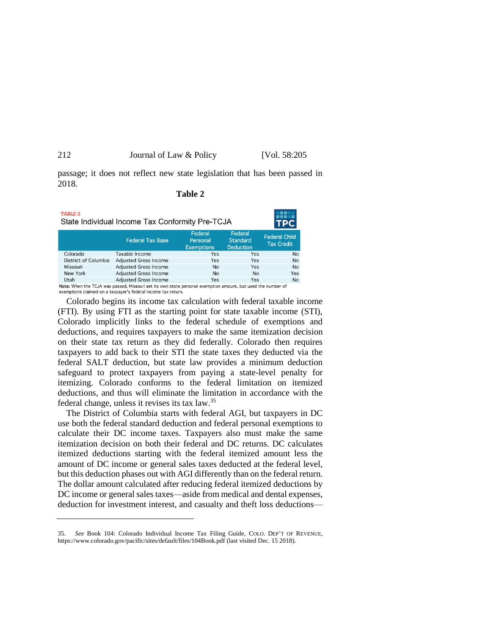| 212 | Journal of Law & Policy | [Vol. 58:205] |
|-----|-------------------------|---------------|
|-----|-------------------------|---------------|

passage; it does not reflect new state legislation that has been passed in 2018.

## **Table 2**

| TABLE 2<br>State Individual Income Tax Conformity Pre-TCJA |                                                                                                              |                                          |                                                |                                           |  |
|------------------------------------------------------------|--------------------------------------------------------------------------------------------------------------|------------------------------------------|------------------------------------------------|-------------------------------------------|--|
|                                                            | <b>Federal Tax Base</b>                                                                                      | Federal<br>Personal<br><b>Exemptions</b> | Federal<br><b>Standard</b><br><b>Deduction</b> | <b>Federal Child</b><br><b>Tax Credit</b> |  |
| Colorado                                                   | Taxable Income                                                                                               | Yes                                      | Yes                                            | No                                        |  |
| District of Columbia                                       | <b>Adjusted Gross Income</b>                                                                                 | Yes                                      | Yes                                            | No                                        |  |
| Missouri                                                   | <b>Adjusted Gross Income</b>                                                                                 | <b>No</b>                                | Yes                                            | No                                        |  |
| New York                                                   | <b>Adjusted Gross Income</b>                                                                                 | <b>No</b>                                | <b>No</b>                                      | Yes                                       |  |
| Utah                                                       | Adjusted Gross Income                                                                                        | <b>Yes</b>                               | Yes                                            | No                                        |  |
|                                                            | Note: When the TCJA was passed, Missouri set its own state personal exemption amount, but used the number of |                                          |                                                |                                           |  |

exemptions claimed on a taxpayer's federal income tax return.

Colorado begins its income tax calculation with federal taxable income (FTI). By using FTI as the starting point for state taxable income (STI), Colorado implicitly links to the federal schedule of exemptions and deductions, and requires taxpayers to make the same itemization decision on their state tax return as they did federally. Colorado then requires taxpayers to add back to their STI the state taxes they deducted via the federal SALT deduction, but state law provides a minimum deduction safeguard to protect taxpayers from paying a state-level penalty for itemizing. Colorado conforms to the federal limitation on itemized deductions, and thus will eliminate the limitation in accordance with the federal change, unless it revises its tax law.<sup>35</sup>

The District of Columbia starts with federal AGI, but taxpayers in DC use both the federal standard deduction and federal personal exemptions to calculate their DC income taxes. Taxpayers also must make the same itemization decision on both their federal and DC returns. DC calculates itemized deductions starting with the federal itemized amount less the amount of DC income or general sales taxes deducted at the federal level, but this deduction phases out with AGI differently than on the federal return. The dollar amount calculated after reducing federal itemized deductions by DC income or general sales taxes—aside from medical and dental expenses, deduction for investment interest, and casualty and theft loss deductions—

<sup>35.</sup> *See* Book 104: Colorado Individual Income Tax Filing Guide, COLO. DEP'T OF REVENUE, <https://www.colorado.gov/pacific/sites/default/files/104Book.pdf> (last visited Dec. 15 2018).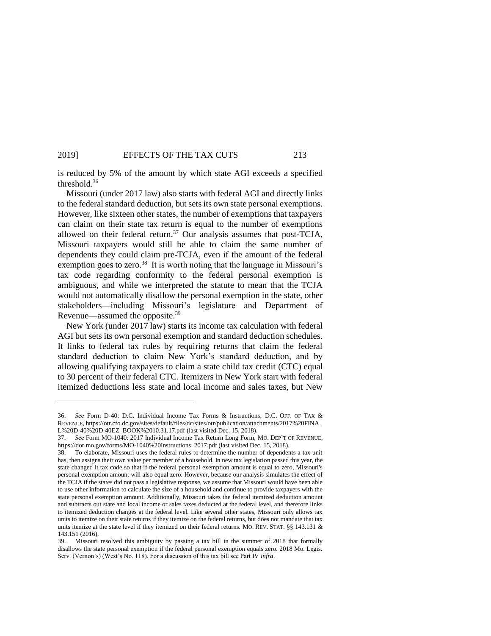is reduced by 5% of the amount by which state AGI exceeds a specified threshold.<sup>36</sup>

Missouri (under 2017 law) also starts with federal AGI and directly links to the federal standard deduction, but sets its own state personal exemptions. However, like sixteen other states, the number of exemptions that taxpayers can claim on their state tax return is equal to the number of exemptions allowed on their federal return. $37$  Our analysis assumes that post-TCJA, Missouri taxpayers would still be able to claim the same number of dependents they could claim pre-TCJA, even if the amount of the federal exemption goes to zero.<sup>38</sup> It is worth noting that the language in Missouri's tax code regarding conformity to the federal personal exemption is ambiguous, and while we interpreted the statute to mean that the TCJA would not automatically disallow the personal exemption in the state, other stakeholders—including Missouri's legislature and Department of Revenue—assumed the opposite.<sup>39</sup>

New York (under 2017 law) starts its income tax calculation with federal AGI but sets its own personal exemption and standard deduction schedules. It links to federal tax rules by requiring returns that claim the federal standard deduction to claim New York's standard deduction, and by allowing qualifying taxpayers to claim a state child tax credit (CTC) equal to 30 percent of their federal CTC. Itemizers in New York start with federal itemized deductions less state and local income and sales taxes, but New

<sup>36.</sup> *See* Form D-40: D.C. Individual Income Tax Forms & Instructions, D.C. OFF. OF TAX & REVENUE, <https://otr.cfo.dc.gov/sites/default/files/dc/sites/otr/publication/attachments/2017%20FINA> L%20D-40%20D-40EZ\_BOOK%2010.31.17.pdf (last visited Dec. 15, 2018).

<sup>37.</sup> *See* Form MO-1040: 2017 Individual Income Tax Return Long Form, MO. DEP'T OF REVENUE, https://dor.mo.gov/forms/MO-1040%20Instructions\_2017.pdf (last visited Dec. 15, 2018).

<sup>38.</sup> To elaborate, Missouri uses the federal rules to determine the number of dependents a tax unit has, then assigns their own value per member of a household. In new tax legislation passed this year, the state changed it tax code so that if the federal personal exemption amount is equal to zero, Missouri's personal exemption amount will also equal zero. However, because our analysis simulates the effect of the TCJA if the states did not pass a legislative response, we assume that Missouri would have been able to use other information to calculate the size of a household and continue to provide taxpayers with the state personal exemption amount. Additionally, Missouri takes the federal itemized deduction amount and subtracts out state and local income or sales taxes deducted at the federal level, and therefore links to itemized deduction changes at the federal level. Like several other states, Missouri only allows tax units to itemize on their state returns if they itemize on the federal returns, but does not mandate that tax units itemize at the state level if they itemized on their federal returns. MO. REV. STAT. §§ 143.131 & 143.151 (2016).

<sup>39.</sup> Missouri resolved this ambiguity by passing a tax bill in the summer of 2018 that formally disallows the state personal exemption if the federal personal exemption equals zero. 2018 Mo. Legis. Serv. (Vernon's) (West's No. 118). For a discussion of this tax bill see Part IV *infra*.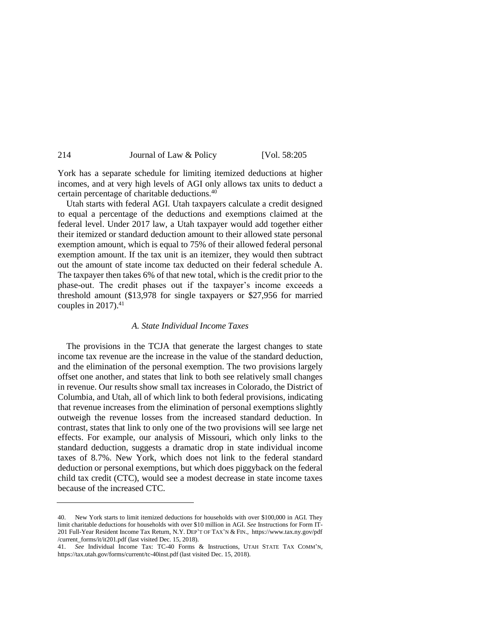| [Vol. 58:205]           |
|-------------------------|
| Journal of Law & Policy |

York has a separate schedule for limiting itemized deductions at higher incomes, and at very high levels of AGI only allows tax units to deduct a certain percentage of charitable deductions.<sup>40</sup>

Utah starts with federal AGI. Utah taxpayers calculate a credit designed to equal a percentage of the deductions and exemptions claimed at the federal level. Under 2017 law, a Utah taxpayer would add together either their itemized or standard deduction amount to their allowed state personal exemption amount, which is equal to 75% of their allowed federal personal exemption amount. If the tax unit is an itemizer, they would then subtract out the amount of state income tax deducted on their federal schedule A. The taxpayer then takes 6% of that new total, which is the credit prior to the phase-out. The credit phases out if the taxpayer's income exceeds a threshold amount (\$13,978 for single taxpayers or \$27,956 for married couples in  $2017$ ).<sup>41</sup>

#### *A. State Individual Income Taxes*

The provisions in the TCJA that generate the largest changes to state income tax revenue are the increase in the value of the standard deduction, and the elimination of the personal exemption. The two provisions largely offset one another, and states that link to both see relatively small changes in revenue. Our results show small tax increases in Colorado, the District of Columbia, and Utah, all of which link to both federal provisions, indicating that revenue increases from the elimination of personal exemptions slightly outweigh the revenue losses from the increased standard deduction. In contrast, states that link to only one of the two provisions will see large net effects. For example, our analysis of Missouri, which only links to the standard deduction, suggests a dramatic drop in state individual income taxes of 8.7%. New York, which does not link to the federal standard deduction or personal exemptions, but which does piggyback on the federal child tax credit (CTC), would see a modest decrease in state income taxes because of the increased CTC.

<sup>40.</sup> New York starts to limit itemized deductions for households with over \$100,000 in AGI. They limit charitable deductions for households with over \$10 million in AGI. *See* Instructions for Form IT-201 Full-Year Resident Income Tax Return, N.Y. DEP'T OF TAX'N & FIN., <https://www.tax.ny.gov/pdf> /current\_forms/it/it201.pdf (last visited Dec. 15, 2018).

<sup>41.</sup> *See* Individual Income Tax: TC-40 Forms & Instructions, UTAH STATE TAX COMM'N, https://tax.utah.gov/forms/current/tc-40inst.pdf (last visited Dec. 15, 2018).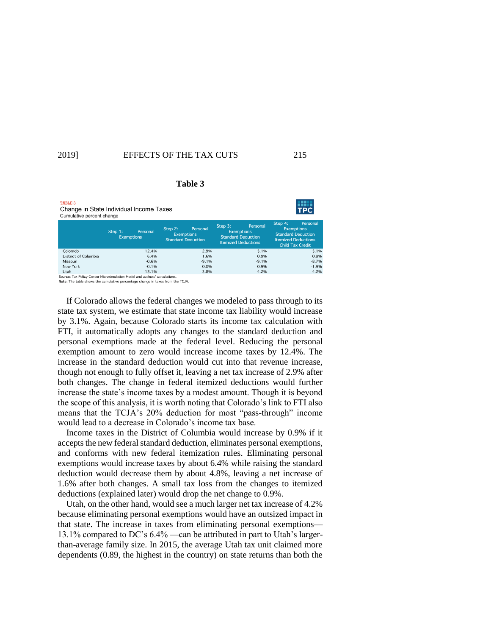| <b>TABLE 3</b><br>Change in State Individual Income Taxes<br>Cumulative percent change |                              |          |                                                           |          |                                                                                         |          |                                                           | TPC                                                               |
|----------------------------------------------------------------------------------------|------------------------------|----------|-----------------------------------------------------------|----------|-----------------------------------------------------------------------------------------|----------|-----------------------------------------------------------|-------------------------------------------------------------------|
|                                                                                        | Step 1:<br><b>Exemptions</b> | Personal | Step 2:<br><b>Exemptions</b><br><b>Standard Deduction</b> | Personal | Step 3:<br><b>Exemptions</b><br><b>Standard Deduction</b><br><b>Itemized Deductions</b> | Personal | Step 4:<br><b>Exemptions</b><br><b>Standard Deduction</b> | Personal<br><b>Itemized Deductions</b><br><b>Child Tax Credit</b> |
| Colorado                                                                               |                              | 12.4%    |                                                           | 2.9%     |                                                                                         | 3.1%     |                                                           | 3.1                                                               |
| District of Columbia                                                                   |                              | 6.4%     |                                                           | 1.6%     |                                                                                         | 0.9%     |                                                           | 0.9                                                               |
| Missouri                                                                               |                              | $-0.6%$  |                                                           | $-9.1%$  |                                                                                         | $-9.1%$  |                                                           | $-8.7$                                                            |
| New York                                                                               |                              | $-0.1%$  |                                                           | 0.0%     |                                                                                         | 0.9%     |                                                           | $-1.9$                                                            |
| Utah<br>_____                                                                          | .                            | 13.1%    |                                                           | 3.8%     |                                                                                         | 4.2%     |                                                           | 4.2                                                               |

**Table 3**

Note: The table shows the cumulative percentage change in taxes from the TCJA.

If Colorado allows the federal changes we modeled to pass through to its state tax system, we estimate that state income tax liability would increase by 3.1%. Again, because Colorado starts its income tax calculation with FTI, it automatically adopts any changes to the standard deduction and personal exemptions made at the federal level. Reducing the personal exemption amount to zero would increase income taxes by 12.4%. The increase in the standard deduction would cut into that revenue increase, though not enough to fully offset it, leaving a net tax increase of 2.9% after both changes. The change in federal itemized deductions would further increase the state's income taxes by a modest amount. Though it is beyond the scope of this analysis, it is worth noting that Colorado's link to FTI also means that the TCJA's 20% deduction for most "pass-through" income would lead to a decrease in Colorado's income tax base.

Income taxes in the District of Columbia would increase by 0.9% if it accepts the new federal standard deduction, eliminates personal exemptions, and conforms with new federal itemization rules. Eliminating personal exemptions would increase taxes by about 6.4% while raising the standard deduction would decrease them by about 4.8%, leaving a net increase of 1.6% after both changes. A small tax loss from the changes to itemized deductions (explained later) would drop the net change to 0.9%.

Utah, on the other hand, would see a much larger net tax increase of 4.2% because eliminating personal exemptions would have an outsized impact in that state. The increase in taxes from eliminating personal exemptions— 13.1% compared to DC's 6.4% —can be attributed in part to Utah's largerthan-average family size. In 2015, the average Utah tax unit claimed more dependents (0.89, the highest in the country) on state returns than both the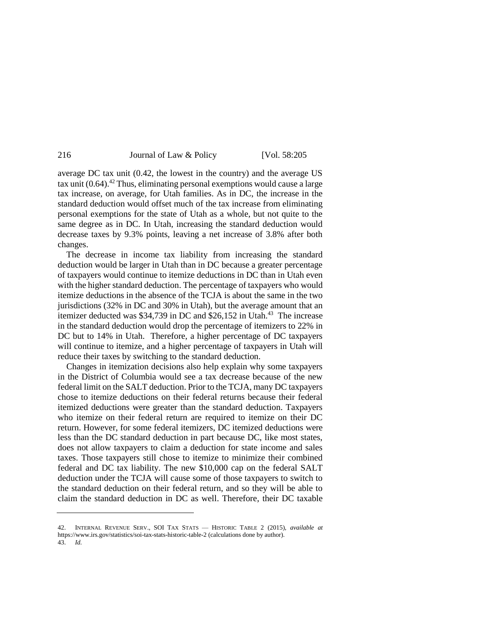| 216 | Journal of Law & Policy | [Vol. 58:205] |
|-----|-------------------------|---------------|
|-----|-------------------------|---------------|

<span id="page-11-0"></span>average DC tax unit (0.42, the lowest in the country) and the average US tax unit  $(0.64)$ .<sup>42</sup> Thus, eliminating personal exemptions would cause a large tax increase, on average, for Utah families. As in DC, the increase in the standard deduction would offset much of the tax increase from eliminating personal exemptions for the state of Utah as a whole, but not quite to the same degree as in DC. In Utah, increasing the standard deduction would decrease taxes by 9.3% points, leaving a net increase of 3.8% after both changes.

The decrease in income tax liability from increasing the standard deduction would be larger in Utah than in DC because a greater percentage of taxpayers would continue to itemize deductions in DC than in Utah even with the higher standard deduction. The percentage of taxpayers who would itemize deductions in the absence of the TCJA is about the same in the two jurisdictions (32% in DC and 30% in Utah), but the average amount that an itemizer deducted was  $$34,739$  in DC and  $$26,152$  in Utah.<sup>43</sup> The increase in the standard deduction would drop the percentage of itemizers to 22% in DC but to 14% in Utah. Therefore, a higher percentage of DC taxpayers will continue to itemize, and a higher percentage of taxpayers in Utah will reduce their taxes by switching to the standard deduction.

Changes in itemization decisions also help explain why some taxpayers in the District of Columbia would see a tax decrease because of the new federal limit on the SALT deduction. Prior to the TCJA, many DC taxpayers chose to itemize deductions on their federal returns because their federal itemized deductions were greater than the standard deduction. Taxpayers who itemize on their federal return are required to itemize on their DC return. However, for some federal itemizers, DC itemized deductions were less than the DC standard deduction in part because DC, like most states, does not allow taxpayers to claim a deduction for state income and sales taxes. Those taxpayers still chose to itemize to minimize their combined federal and DC tax liability. The new \$10,000 cap on the federal SALT deduction under the TCJA will cause some of those taxpayers to switch to the standard deduction on their federal return, and so they will be able to claim the standard deduction in DC as well. Therefore, their DC taxable

<sup>42.</sup> INTERNAL REVENUE SERV., SOI TAX STATS — HISTORIC TABLE 2 (2015), *available at*  https://www.irs.gov/statistics/soi-tax-stats-historic-table-2 (calculations done by author). 43. *Id.*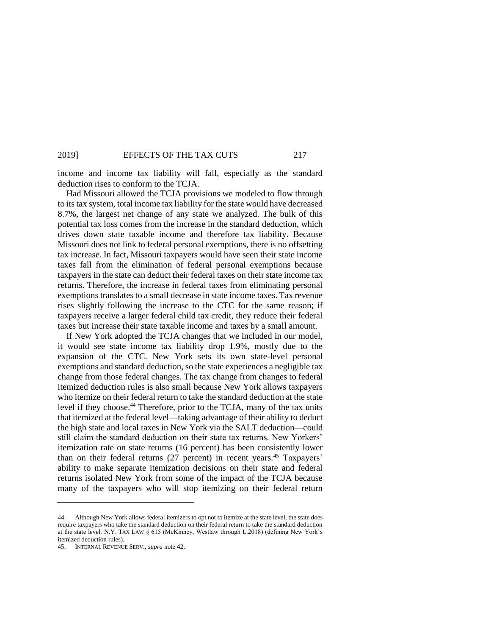income and income tax liability will fall, especially as the standard deduction rises to conform to the TCJA.

Had Missouri allowed the TCJA provisions we modeled to flow through to its tax system, total income tax liability for the state would have decreased 8.7%, the largest net change of any state we analyzed. The bulk of this potential tax loss comes from the increase in the standard deduction, which drives down state taxable income and therefore tax liability. Because Missouri does not link to federal personal exemptions, there is no offsetting tax increase. In fact, Missouri taxpayers would have seen their state income taxes fall from the elimination of federal personal exemptions because taxpayers in the state can deduct their federal taxes on their state income tax returns. Therefore, the increase in federal taxes from eliminating personal exemptions translates to a small decrease in state income taxes. Tax revenue rises slightly following the increase to the CTC for the same reason; if taxpayers receive a larger federal child tax credit, they reduce their federal taxes but increase their state taxable income and taxes by a small amount.

If New York adopted the TCJA changes that we included in our model, it would see state income tax liability drop 1.9%, mostly due to the expansion of the CTC. New York sets its own state-level personal exemptions and standard deduction, so the state experiences a negligible tax change from those federal changes. The tax change from changes to federal itemized deduction rules is also small because New York allows taxpayers who itemize on their federal return to take the standard deduction at the state level if they choose.<sup>44</sup> Therefore, prior to the TCJA, many of the tax units that itemized at the federal level—taking advantage of their ability to deduct the high state and local taxes in New York via the SALT deduction—could still claim the standard deduction on their state tax returns. New Yorkers' itemization rate on state returns (16 percent) has been consistently lower than on their federal returns (27 percent) in recent years.<sup>45</sup> Taxpayers' ability to make separate itemization decisions on their state and federal returns isolated New York from some of the impact of the TCJA because many of the taxpayers who will stop itemizing on their federal return

<sup>44.</sup> Although New York allows federal itemizers to opt not to itemize at the state level, the state does require taxpayers who take the standard deduction on their federal return to take the standard deduction at the state level. N.Y. TAX LAW § 615 (McKinney, Westlaw through L.2018) (defining New York's itemized deduction rules).

<sup>45.</sup> INTERNAL REVENUE SERV., *supra* not[e 42.](#page-11-0)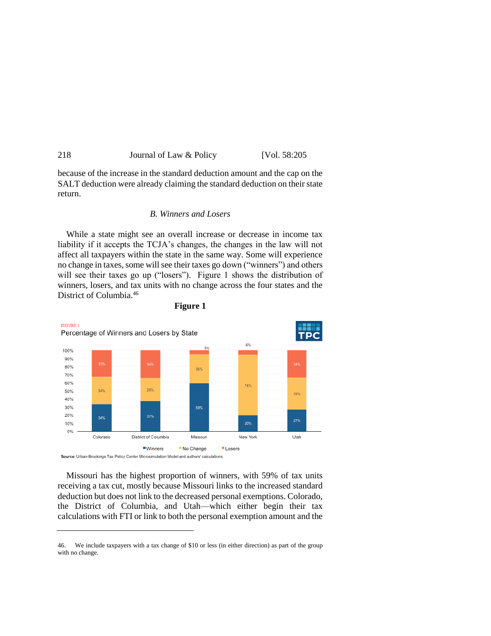| 218 | Journal of Law & Policy | [Vol. 58:205] |
|-----|-------------------------|---------------|
|     |                         |               |

because of the increase in the standard deduction amount and the cap on the SALT deduction were already claiming the standard deduction on their state return.

#### *B. Winners and Losers*

While a state might see an overall increase or decrease in income tax liability if it accepts the TCJA's changes, the changes in the law will not affect all taxpayers within the state in the same way. Some will experience no change in taxes, some will see their taxes go down ("winners") and others will see their taxes go up ("losers"). Figure 1 shows the distribution of winners, losers, and tax units with no change across the four states and the District of Columbia.<sup>46</sup>





Missouri has the highest proportion of winners, with 59% of tax units receiving a tax cut, mostly because Missouri links to the increased standard deduction but does not link to the decreased personal exemptions. Colorado, the District of Columbia, and Utah—which either begin their tax calculations with FTI or link to both the personal exemption amount and the

<sup>46.</sup> We include taxpayers with a tax change of \$10 or less (in either direction) as part of the group with no change.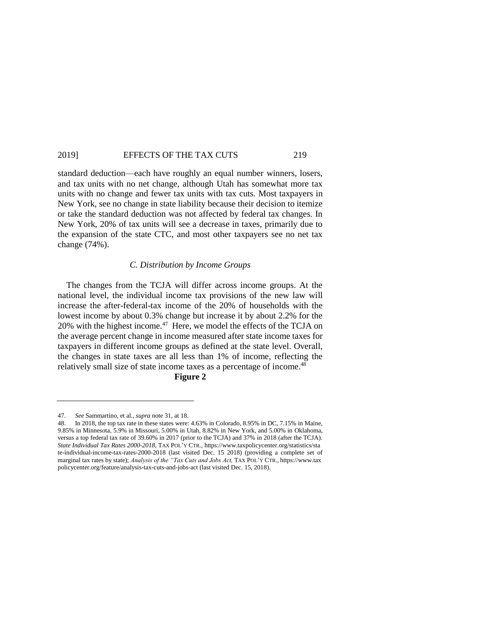standard deduction—each have roughly an equal number winners, losers, and tax units with no net change, although Utah has somewhat more tax units with no change and fewer tax units with tax cuts. Most taxpayers in New York, see no change in state liability because their decision to itemize or take the standard deduction was not affected by federal tax changes. In New York, 20% of tax units will see a decrease in taxes, primarily due to the expansion of the state CTC, and most other taxpayers see no net tax change (74%).

#### *C. Distribution by Income Groups*

The changes from the TCJA will differ across income groups. At the national level, the individual income tax provisions of the new law will increase the after-federal-tax income of the 20% of households with the lowest income by about 0.3% change but increase it by about 2.2% for the 20% with the highest income.<sup>47</sup> Here, we model the effects of the TCJA on the average percent change in income measured after state income taxes for taxpayers in different income groups as defined at the state level. Overall, the changes in state taxes are all less than 1% of income, reflecting the relatively small size of state income taxes as a percentage of income.<sup>48</sup>

#### **Figure 2**

<sup>47.</sup> *See* Sammartino, et al., *supra* not[e 31,](#page-5-0) at 18.

<sup>48.</sup> In 2018, the top tax rate in these states were: 4.63% in Colorado, 8.95% in DC, 7.15% in Maine, 9.85% in Minnesota, 5.9% in Missouri, 5.00% in Utah, 8.82% in New York, and 5.00% in Oklahoma, versus a top federal tax rate of 39.60% in 2017 (prior to the TCJA) and 37% in 2018 (after the TCJA). *State Individual Tax Rates 2000-2018*, TAX POL'Y CTR., <https://www.taxpolicycenter.org/statistics/sta> te-individual-income-tax-rates-2000-2018 (last visited Dec. 15 2018) (providing a complete set of marginal tax rates by state); *Analysis of the "Tax Cuts and Jobs Act,* TAX POL'Y CTR., [https://www.tax](https://www.tax/) policycenter.org/feature/analysis-tax-cuts-and-jobs-act (last visited Dec. 15, 2018).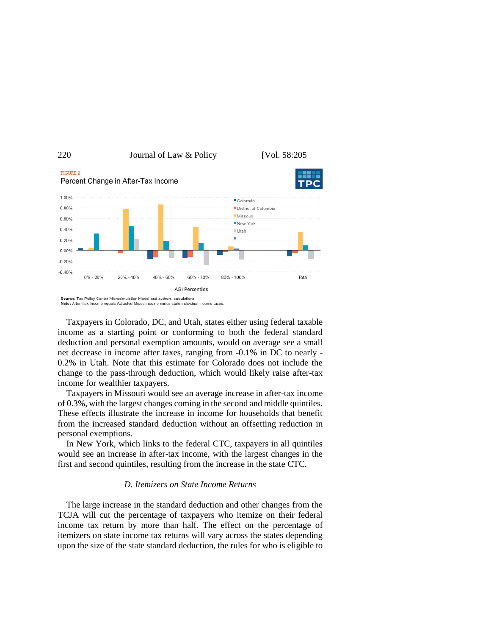

Source: Tax Policy Center Microsimulation Model and authors' calculations.<br>Note: After-Tax Income equals Adjusted Gross Income minus state individual income taxes

Taxpayers in Colorado, DC, and Utah, states either using federal taxable income as a starting point or conforming to both the federal standard deduction and personal exemption amounts, would on average see a small net decrease in income after taxes, ranging from -0.1% in DC to nearly - 0.2% in Utah. Note that this estimate for Colorado does not include the change to the pass-through deduction, which would likely raise after-tax income for wealthier taxpayers.

Taxpayers in Missouri would see an average increase in after-tax income of 0.3%, with the largest changes coming in the second and middle quintiles. These effects illustrate the increase in income for households that benefit from the increased standard deduction without an offsetting reduction in personal exemptions.

In New York, which links to the federal CTC, taxpayers in all quintiles would see an increase in after-tax income, with the largest changes in the first and second quintiles, resulting from the increase in the state CTC.

#### *D. Itemizers on State Income Returns*

The large increase in the standard deduction and other changes from the TCJA will cut the percentage of taxpayers who itemize on their federal income tax return by more than half. The effect on the percentage of itemizers on state income tax returns will vary across the states depending upon the size of the state standard deduction, the rules for who is eligible to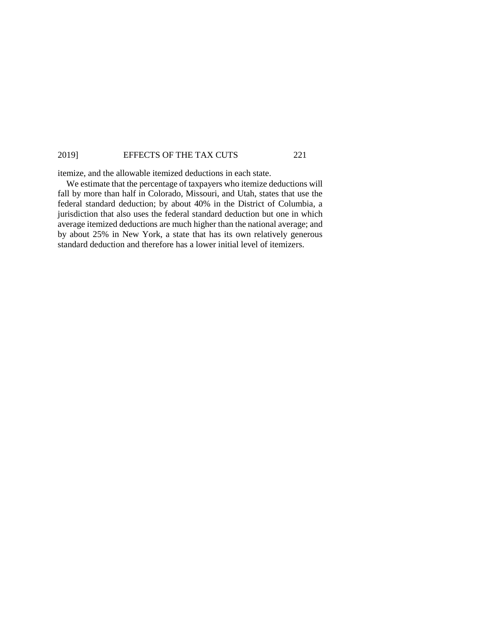itemize, and the allowable itemized deductions in each state.

We estimate that the percentage of taxpayers who itemize deductions will fall by more than half in Colorado, Missouri, and Utah, states that use the federal standard deduction; by about 40% in the District of Columbia, a jurisdiction that also uses the federal standard deduction but one in which average itemized deductions are much higher than the national average; and by about 25% in New York, a state that has its own relatively generous standard deduction and therefore has a lower initial level of itemizers.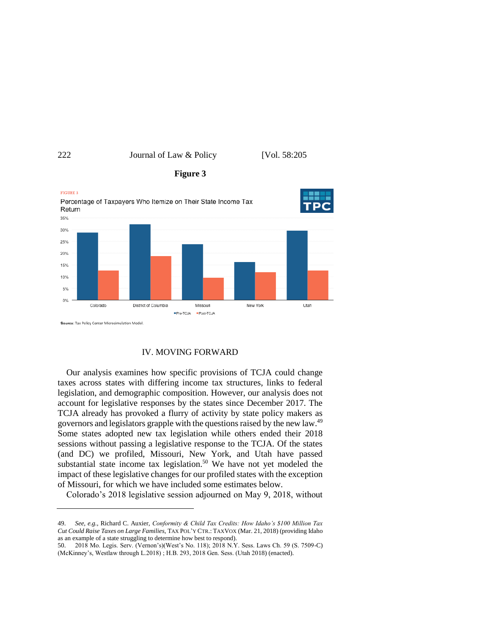

#### IV. MOVING FORWARD

Our analysis examines how specific provisions of TCJA could change taxes across states with differing income tax structures, links to federal legislation, and demographic composition. However, our analysis does not account for legislative responses by the states since December 2017. The TCJA already has provoked a flurry of activity by state policy makers as governors and legislators grapple with the questions raised by the new law.<sup>49</sup> Some states adopted new tax legislation while others ended their 2018 sessions without passing a legislative response to the TCJA. Of the states (and DC) we profiled, Missouri, New York, and Utah have passed substantial state income tax legislation.<sup>50</sup> We have not yet modeled the impact of these legislative changes for our profiled states with the exception of Missouri, for which we have included some estimates below.

Colorado's 2018 legislative session adjourned on May 9, 2018, without

<sup>49.</sup> *See, e.g.*, Richard C. Auxier, *Conformity & Child Tax Credits: How Idaho's \$100 Million Tax Cut Could Raise Taxes on Large Families*, TAX POL'Y CTR.: TAXVOX (Mar. 21, 2018) (providing Idaho as an example of a state struggling to determine how best to respond).

<sup>50.</sup> 2018 Mo. Legis. Serv. (Vernon's)(West's No. 118); 2018 N.Y. Sess. Laws Ch. 59 (S. 7509-C) (McKinney's, Westlaw through L.2018) ; H.B. 293, 2018 Gen. Sess. (Utah 2018) (enacted).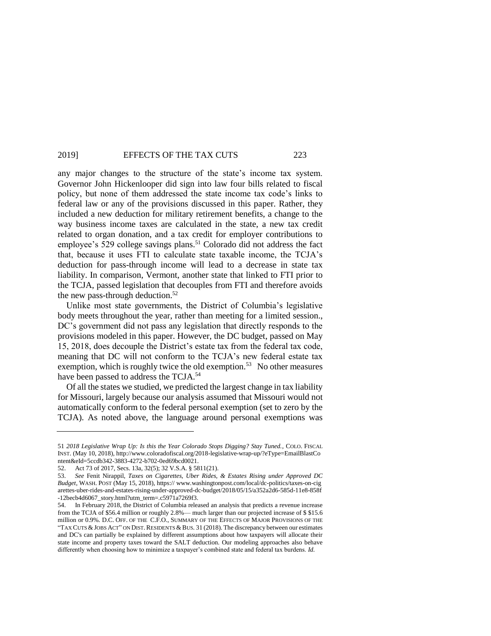any major changes to the structure of the state's income tax system. Governor John Hickenlooper did sign into law four bills related to fiscal policy, but none of them addressed the state income tax code's links to federal law or any of the provisions discussed in this paper. Rather, they included a new deduction for military retirement benefits, a change to the way business income taxes are calculated in the state, a new tax credit related to organ donation, and a tax credit for employer contributions to employee's 529 college savings plans.<sup>51</sup> Colorado did not address the fact that, because it uses FTI to calculate state taxable income, the TCJA's deduction for pass-through income will lead to a decrease in state tax liability. In comparison, Vermont, another state that linked to FTI prior to the TCJA, passed legislation that decouples from FTI and therefore avoids the new pass-through deduction. $52$ 

Unlike most state governments, the District of Columbia's legislative body meets throughout the year, rather than meeting for a limited session., DC's government did not pass any legislation that directly responds to the provisions modeled in this paper. However, the DC budget, passed on May 15, 2018, does decouple the District's estate tax from the federal tax code, meaning that DC will not conform to the TCJA's new federal estate tax exemption, which is roughly twice the old exemption.<sup>53</sup> No other measures have been passed to address the TCJA.<sup>54</sup>

Of all the states we studied, we predicted the largest change in tax liability for Missouri, largely because our analysis assumed that Missouri would not automatically conform to the federal personal exemption (set to zero by the TCJA). As noted above, the language around personal exemptions was

<sup>51</sup> *2018 Legislative Wrap Up: Is this the Year Colorado Stops Digging? Stay Tuned.*, COLO. FISCAL INST. (May 10, 2018), <http://www.coloradofiscal.org/2018-legislative-wrap-up/?eType=EmailBlastCo> ntent&eId=5ccdb342-3883-4272-b702-0ed69bcd0021.

<sup>52.</sup> Act 73 of 2017, Secs. 13a, 32(5); 32 V.S.A. § 5811(21).

<sup>53.</sup> *See* Fenit Nirappil, *Taxes on Cigarettes, Uber Rides, & Estates Rising under Approved DC Budget*, WASH. POST (May 15, 2018), https:// [www.washingtonpost.com/local/dc-politics/taxes-on-cig](http://www.washingtonpost.com/local/dc-politics/taxes-on-cig) arettes-uber-rides-and-estates-rising-under-approved-dc-budget/2018/05/15/a352a2d6-585d-11e8-858f -12becb4d6067\_story.html?utm\_term=.c5971a7269f3.

<sup>54.</sup> In February 2018, the District of Columbia released an analysis that predicts a revenue increase from the TCJA of \$56.4 million or roughly 2.8%— much larger than our projected increase of \$ \$15.6 million or 0.9%. D.C. OFF. OF THE C.F.O., SUMMARY OF THE EFFECTS OF MAJOR PROVISIONS OF THE "TAX CUTS  $&$  JOBS ACT" ON DIST. RESIDENTS  $&$  BUS. 31 (2018). The discrepancy between our estimates and DC's can partially be explained by different assumptions about how taxpayers will allocate their state income and property taxes toward the SALT deduction. Our modeling approaches also behave differently when choosing how to minimize a taxpayer's combined state and federal tax burdens. *Id.*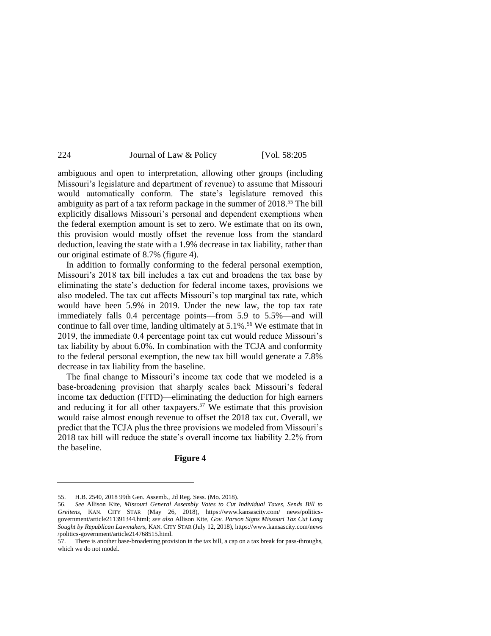ambiguous and open to interpretation, allowing other groups (including Missouri's legislature and department of revenue) to assume that Missouri would automatically conform. The state's legislature removed this ambiguity as part of a tax reform package in the summer of 2018.<sup>55</sup> The bill explicitly disallows Missouri's personal and dependent exemptions when the federal exemption amount is set to zero. We estimate that on its own, this provision would mostly offset the revenue loss from the standard deduction, leaving the state with a 1.9% decrease in tax liability, rather than our original estimate of 8.7% (figure 4).

In addition to formally conforming to the federal personal exemption, Missouri's 2018 tax bill includes a tax cut and broadens the tax base by eliminating the state's deduction for federal income taxes, provisions we also modeled. The tax cut affects Missouri's top marginal tax rate, which would have been 5.9% in 2019. Under the new law, the top tax rate immediately falls 0.4 percentage points—from 5.9 to 5.5%—and will continue to fall over time, landing ultimately at  $5.1\%$ .<sup>56</sup> We estimate that in 2019, the immediate 0.4 percentage point tax cut would reduce Missouri's tax liability by about 6.0%. In combination with the TCJA and conformity to the federal personal exemption, the new tax bill would generate a 7.8% decrease in tax liability from the baseline.

The final change to Missouri's income tax code that we modeled is a base-broadening provision that sharply scales back Missouri's federal income tax deduction (FITD)—eliminating the deduction for high earners and reducing it for all other taxpayers.<sup>57</sup> We estimate that this provision would raise almost enough revenue to offset the 2018 tax cut. Overall, we predict that the TCJA plus the three provisions we modeled from Missouri's 2018 tax bill will reduce the state's overall income tax liability 2.2% from the baseline.

### **Figure 4**

<sup>55.</sup> H.B. 2540, 2018 99th Gen. Assemb., 2d Reg. Sess. (Mo. 2018).

<sup>56</sup>*. See* Allison Kite, *Missouri General Assembly Votes to Cut Individual Taxes, Sends Bill to Greitens*, KAN. CITY STAR (May 26, 2018), [https://www.kansascity.com/ news/politics](https://www.kansascity.com/%20news/politics-government/article211391344.html)[government/article211391344.html;](https://www.kansascity.com/%20news/politics-government/article211391344.html) *see also* Allison Kite, *Gov. Parson Signs Missouri Tax Cut Long Sought by Republican Lawmakers*, KAN. CITY STAR (July 12, 2018)[, https://www.kansascity.com/news](https://www.kansascity.com/news) /politics-government/article214768515.html.

<sup>57.</sup> There is another base-broadening provision in the tax bill, a cap on a tax break for pass-throughs, which we do not model.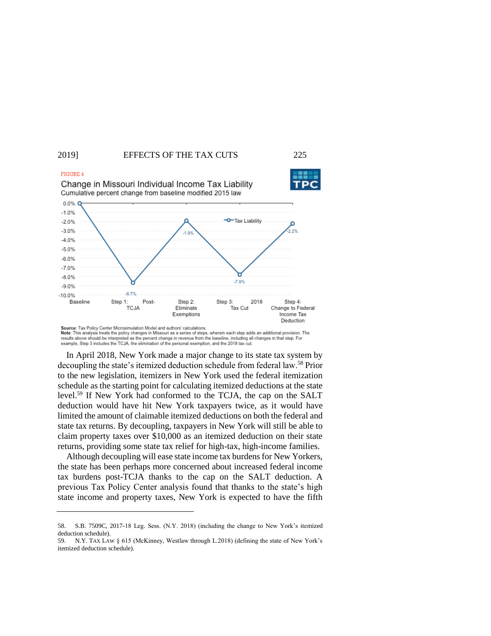



Source: Tax Policy Center Microsimulation Model and authors' calculations Note: This analysis treats the policy changes in Missouri as a series of steps, wherein each step adds an additional provision. The results above should be interpreted as the percent change in revenue from the baseline, including all changes in that step. For example, Step 3 includes the TCJA, the elimination of the personal exemption, and the 2018 tax cut.

In April 2018, New York made a major change to its state tax system by decoupling the state's itemized deduction schedule from federal law.<sup>58</sup> Prior to the new legislation, itemizers in New York used the federal itemization schedule as the starting point for calculating itemized deductions at the state level.<sup>59</sup> If New York had conformed to the TCJA, the cap on the SALT deduction would have hit New York taxpayers twice, as it would have limited the amount of claimable itemized deductions on both the federal and state tax returns. By decoupling, taxpayers in New York will still be able to claim property taxes over \$10,000 as an itemized deduction on their state returns, providing some state tax relief for high-tax, high-income families.

Although decoupling will ease state income tax burdens for New Yorkers, the state has been perhaps more concerned about increased federal income tax burdens post-TCJA thanks to the cap on the SALT deduction. A previous Tax Policy Center analysis found that thanks to the state's high state income and property taxes, New York is expected to have the fifth

<sup>58.</sup> S.B. 7509C, 2017-18 Leg. Sess. (N.Y. 2018) (including the change to New York's itemized deduction schedule).

<sup>59.</sup> N.Y. TAX LAW § 615 (McKinney, Westlaw through L.2018) (defining the state of New York's itemized deduction schedule).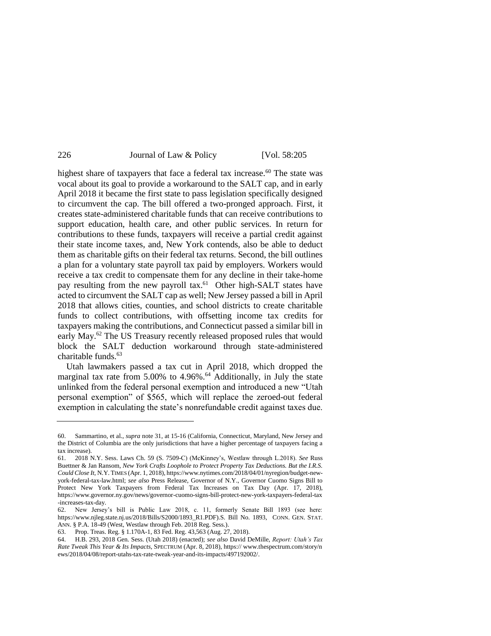highest share of taxpayers that face a federal tax increase.<sup>60</sup> The state was vocal about its goal to provide a workaround to the SALT cap, and in early April 2018 it became the first state to pass legislation specifically designed to circumvent the cap. The bill offered a two-pronged approach. First, it creates state-administered charitable funds that can receive contributions to support education, health care, and other public services. In return for contributions to these funds, taxpayers will receive a partial credit against their state income taxes, and, New York contends, also be able to deduct them as charitable gifts on their federal tax returns. Second, the bill outlines a plan for a voluntary state payroll tax paid by employers. Workers would receive a tax credit to compensate them for any decline in their take-home pay resulting from the new payroll tax.<sup>61</sup> Other high-SALT states have acted to circumvent the SALT cap as well; New Jersey passed a bill in April 2018 that allows cities, counties, and school districts to create charitable funds to collect contributions, with offsetting income tax credits for taxpayers making the contributions, and Connecticut passed a similar bill in early May.<sup>62</sup> The US Treasury recently released proposed rules that would block the SALT deduction workaround through state-administered charitable funds.<sup>63</sup>

Utah lawmakers passed a tax cut in April 2018, which dropped the marginal tax rate from  $5.00\%$  to  $4.96\%$ .<sup>64</sup> Additionally, in July the state unlinked from the federal personal exemption and introduced a new "Utah personal exemption" of \$565, which will replace the zeroed-out federal exemption in calculating the state's nonrefundable credit against taxes due.

<sup>60.</sup> Sammartino, et al., *supra* not[e 31,](#page-5-0) at 15-16 (California, Connecticut, Maryland, New Jersey and the District of Columbia are the only jurisdictions that have a higher percentage of taxpayers facing a tax increase).

<sup>61.</sup> 2018 N.Y. Sess. Laws Ch. 59 (S. 7509-C) (McKinney's, Westlaw through L.2018). *See* Russ Buettner & Jan Ransom, *New York Crafts Loophole to Protect Property Tax Deductions. But the I.R.S. Could Close It*, N.Y. TIMES (Apr. 1, 2018)[, https://www.nytimes.com/2018/04/01/nyregion/budget-new](https://www.nytimes.com/2018/04/01/nyregion/budget-new-york-federal-tax-law.html)[york-federal-tax-law.html;](https://www.nytimes.com/2018/04/01/nyregion/budget-new-york-federal-tax-law.html) *see also* Press Release, Governor of N.Y., Governor Cuomo Signs Bill to Protect New York Taxpayers from Federal Tax Increases on Tax Day (Apr. 17, 2018), <https://www.governor.ny.gov/news/governor-cuomo-signs-bill-protect-new-york-taxpayers-federal-tax> -increases-tax-day.

<sup>62.</sup> New Jersey's bill is Public Law 2018, c. 11, formerly Senate Bill 1893 (see here: [https://www.njleg.state.nj.us/2018/Bills/S2000/1893\\_R1.PDF\)](https://www.njleg.state.nj.us/2018/Bills/S2000/1893_R1.PDF).S. Bill No. 1893, CONN. GEN. STAT. ANN. § P.A. 18-49 (West, Westlaw through Feb. 2018 Reg. Sess.).

<sup>63.</sup> Prop. Treas. Reg. § 1.170A-1, 83 Fed. Reg. 43,563 (Aug. 27, 2018).

<sup>64.</sup> H.B. 293, 2018 Gen. Sess. (Utah 2018) (enacted); *see also* David DeMille, *Report: Utah's Tax Rate Tweak This Year & Its Impacts*, SPECTRUM (Apr. 8, 2018), https:/[/ www.thespectrum.com/story/n](http://www.thespectrum.com/story/n) ews/2018/04/08/report-utahs-tax-rate-tweak-year-and-its-impacts/497192002/.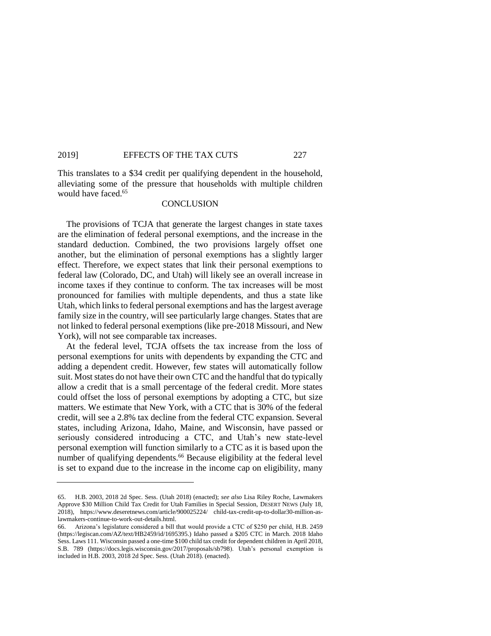This translates to a \$34 credit per qualifying dependent in the household, alleviating some of the pressure that households with multiple children would have faced. 65

## **CONCLUSION**

The provisions of TCJA that generate the largest changes in state taxes are the elimination of federal personal exemptions, and the increase in the standard deduction. Combined, the two provisions largely offset one another, but the elimination of personal exemptions has a slightly larger effect. Therefore, we expect states that link their personal exemptions to federal law (Colorado, DC, and Utah) will likely see an overall increase in income taxes if they continue to conform. The tax increases will be most pronounced for families with multiple dependents, and thus a state like Utah, which links to federal personal exemptions and has the largest average family size in the country, will see particularly large changes. States that are not linked to federal personal exemptions (like pre-2018 Missouri, and New York), will not see comparable tax increases.

At the federal level, TCJA offsets the tax increase from the loss of personal exemptions for units with dependents by expanding the CTC and adding a dependent credit. However, few states will automatically follow suit. Most states do not have their own CTC and the handful that do typically allow a credit that is a small percentage of the federal credit. More states could offset the loss of personal exemptions by adopting a CTC, but size matters. We estimate that New York, with a CTC that is 30% of the federal credit, will see a 2.8% tax decline from the federal CTC expansion. Several states, including Arizona, Idaho, Maine, and Wisconsin, have passed or seriously considered introducing a CTC, and Utah's new state-level personal exemption will function similarly to a CTC as it is based upon the number of qualifying dependents.<sup>66</sup> Because eligibility at the federal level is set to expand due to the increase in the income cap on eligibility, many

<sup>65.</sup> H.B. 2003, 2018 2d Spec. Sess. (Utah 2018) (enacted); *see also* Lisa Riley Roche, Lawmakers Approve \$30 Million Child Tax Credit for Utah Families in Special Session, DESERT NEWS (July 18, 2018), [https://www.deseretnews.com/article/900025224/ child-tax-credit-up-to-dollar30-million-as](https://www.deseretnews.com/article/900025224/%20child-tax-credit-up-to-dollar30-million-as-lawmakers-continue-to-work-out-details.html)[lawmakers-continue-to-work-out-details.html.](https://www.deseretnews.com/article/900025224/%20child-tax-credit-up-to-dollar30-million-as-lawmakers-continue-to-work-out-details.html)

<sup>66.</sup> Arizona's legislature considered a bill that would provide a CTC of \$250 per child, H.B. 2459 [\(https://legiscan.com/AZ/text/HB2459/id/1695395.](https://legiscan.com/AZ/text/HB2459/id/1695395)) Idaho passed a \$205 CTC in March. 2018 Idaho Sess. Laws 111. Wisconsin passed a one-time \$100 child tax credit for dependent children in April 2018, S.B. 789 [\(https://docs.legis.wisconsin.gov/2017/proposals/sb798\)](https://docs.legis.wisconsin.gov/2017/proposals/sb798). Utah's personal exemption is included in H.B. 2003, 2018 2d Spec. Sess. (Utah 2018). (enacted).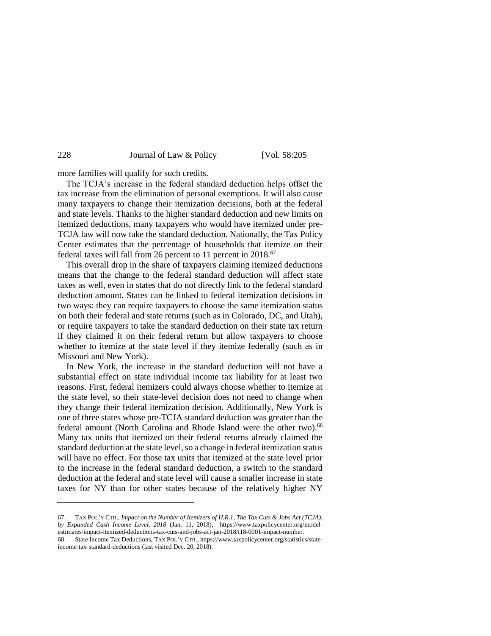more families will qualify for such credits.

The TCJA's increase in the federal standard deduction helps offset the tax increase from the elimination of personal exemptions. It will also cause many taxpayers to change their itemization decisions, both at the federal and state levels. Thanks to the higher standard deduction and new limits on itemized deductions, many taxpayers who would have itemized under pre-TCJA law will now take the standard deduction. Nationally, the Tax Policy Center estimates that the percentage of households that itemize on their federal taxes will fall from 26 percent to 11 percent in 2018.<sup>67</sup>

This overall drop in the share of taxpayers claiming itemized deductions means that the change to the federal standard deduction will affect state taxes as well, even in states that do not directly link to the federal standard deduction amount. States can be linked to federal itemization decisions in two ways: they can require taxpayers to choose the same itemization status on both their federal and state returns (such as in Colorado, DC, and Utah), or require taxpayers to take the standard deduction on their state tax return if they claimed it on their federal return but allow taxpayers to choose whether to itemize at the state level if they itemize federally (such as in Missouri and New York).

In New York, the increase in the standard deduction will not have a substantial effect on state individual income tax liability for at least two reasons. First, federal itemizers could always choose whether to itemize at the state level, so their state-level decision does not need to change when they change their federal itemization decision. Additionally, New York is one of three states whose pre-TCJA standard deduction was greater than the federal amount (North Carolina and Rhode Island were the other two).<sup>68</sup> Many tax units that itemized on their federal returns already claimed the standard deduction at the state level, so a change in federal itemization status will have no effect. For those tax units that itemized at the state level prior to the increase in the federal standard deduction, a switch to the standard deduction at the federal and state level will cause a smaller increase in state taxes for NY than for other states because of the relatively higher NY

<sup>67.</sup> TAX POL'Y CTR., *Impact on the Number of Itemizers of H.R.1, The Tax Cuts & Jobs Act (TCJA), by Expanded Cash Income Level, 2018* (Jan. 11, 2018), [https://www.taxpolicycenter.org/model](https://www.taxpolicycenter.org/model-estimates/impact-itemized-deductions-tax-cuts-and-jobs-act-jan-2018/t18-0001-impact-number)[estimates/impact-itemized-deductions-tax-cuts-and-jobs-act-jan-2018/t18-0001-impact-number.](https://www.taxpolicycenter.org/model-estimates/impact-itemized-deductions-tax-cuts-and-jobs-act-jan-2018/t18-0001-impact-number)

<sup>68.</sup> State Income Tax Deductions, TAX POL'Y CTR.[, https://www.taxpolicycenter.org/statistics/state](https://www.taxpolicycenter.org/statistics/state-income-tax-standard-deductions)[income-tax-standard-deductions](https://www.taxpolicycenter.org/statistics/state-income-tax-standard-deductions) (last visited Dec. 20, 2018).